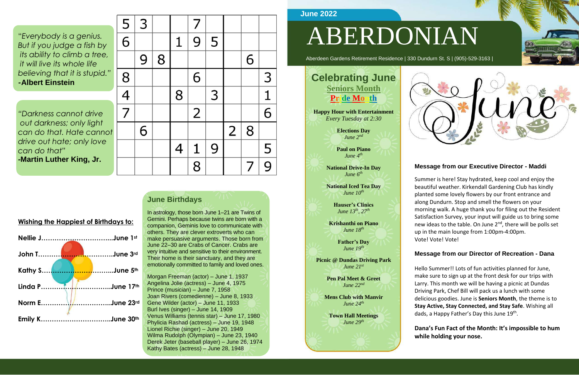"*Everybody is a genius. But if you judge a fish by its ability to climb a tree, it will live its whole life believing that it is stupid." -***Albert Einstein**

*"Darkness cannot drive out darkness; only light can do that. Hate cannot drive out hate; only love can do that" -***Martin Luther King, Jr.**

| $\frac{5}{6}$ | 3 |   |                | 7              |   |                |   |                         |
|---------------|---|---|----------------|----------------|---|----------------|---|-------------------------|
|               |   |   | $\mathbf 1$    | 9              | 5 |                |   |                         |
|               | 9 | 8 |                |                |   |                | 6 |                         |
|               |   |   |                | 6              |   |                |   | $\overline{\mathsf{3}}$ |
| $\frac{8}{4}$ |   |   | 8              |                | 3 |                |   | $\frac{1}{6}$           |
|               |   |   |                | $\overline{2}$ |   |                |   |                         |
|               | 6 |   |                |                |   | $\overline{2}$ | 8 |                         |
|               |   |   | $\overline{4}$ | $\mathbf{1}$   | 9 |                |   | $\frac{5}{9}$           |
|               |   |   |                | $\overline{8}$ |   |                | 7 |                         |

# ABERDONIAN

Aberdeen Gardens Retirement Residence | 330 Dundurn St. S | (905)-529-3163 |

### **Message from our Executive Director - Maddi**

Hello Summer!! Lots of fun activities planned for June, make sure to sign up at the front desk for our trips with Larry. This month we will be having a picnic at Dundas Driving Park, Chef Bill will pack us a lunch with some delicious goodies. June is **Seniors Month**, the theme is to **Stay Active, Stay Connected, and Stay Safe**. Wishing all dads, a Happy Father's Day this June 19<sup>th</sup>.

Summer is here! Stay hydrated, keep cool and enjoy the beautiful weather. Kirkendall Gardening Club has kindly planted some lovely flowers by our front entrance and along Dundurn. Stop and smell the flowers on your morning walk. A huge thank you for filing out the Resident Satisfaction Survey, your input will guide us to bring some new ideas to the table. On June 2<sup>nd</sup>, there will be polls set up in the main lounge from 1:00pm-4:00pm. Vote! Vote! Vote!

#### **Message from our Director of Recreation - Dana**

**Dana's Fun Fact of the Month: It's impossible to hum while holding your nose.**



| <b>Wishing the Happiest of Birthdays to:</b> |  |
|----------------------------------------------|--|
| Nellie JJune 1st                             |  |
|                                              |  |
|                                              |  |
| Linda PJune 17th                             |  |
| Norm EJune 23rd                              |  |
| Emily KJune 30th                             |  |

### **June Birthdays**

In astrology, those born June 1–21 are Twins of Gemini. Perhaps because twins are born with a companion, Geminis love to communicate with others. They are clever extroverts who can make persuasive arguments. Those born from June 22–30 are Crabs of Cancer. Crabs are very intuitive and sensitive to their environment. Their home is their sanctuary, and they are emotionally committed to family and loved ones.

Morgan Freeman (actor) – June 1, 1937 Angelina Jolie (actress) – June 4, 1975 Prince (musician) – June 7, 1958 Joan Rivers (comedienne) – June 8, 1933 Gene Wilder (actor) – June 11, 1933 Burl Ives (singer) – June 14, 1909 Venus Williams (tennis star) – June 17, 1980 Phylicia Rashad (actress) – June 19, 1948 Lionel Richie (singer) – June 20, 1949 Wilma Rudolph (Olympian) – June 23, 1940 Derek Jeter (baseball player) – June 26, 1974 Kathy Bates (actress) – June 28, 1948

### **June 2022**

### **Celebrating June Seniors Month Pride Month**

**Happy Hour with Entertainment** *Every Tuesday at 2:30*

> **Elections Day** *June 2nd*

**Paul on Piano** *June 4th*

**National Drive-In Day** *June 6th*

**National Iced Tea Day** *June 10th*

> **Hauser's Clinics**  *June 13th, 27th*

**Krishanthi on Piano** *June 18th*

> **Father's Day** *June 19th*

**Picnic @ Dundas Driving Park** *June 21st*

> **Pen Pal Meet & Greet** *June 22nd*

**Mens Club with Manvir**  *June 24th*

**Town Hall Meetings** *June 29th*